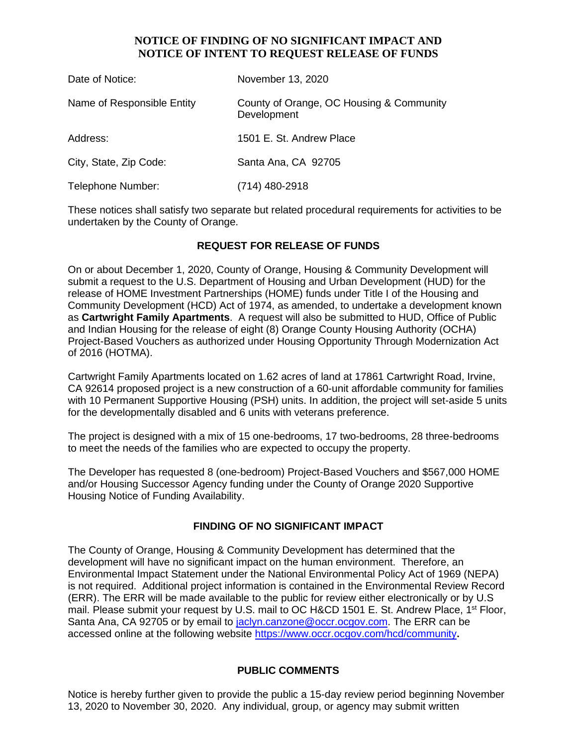### **NOTICE OF FINDING OF NO SIGNIFICANT IMPACT AND NOTICE OF INTENT TO REQUEST RELEASE OF FUNDS**

| Date of Notice:            | November 13, 2020                                       |
|----------------------------|---------------------------------------------------------|
| Name of Responsible Entity | County of Orange, OC Housing & Community<br>Development |
| Address:                   | 1501 E. St. Andrew Place                                |
| City, State, Zip Code:     | Santa Ana, CA 92705                                     |
| Telephone Number:          | (714) 480-2918                                          |

These notices shall satisfy two separate but related procedural requirements for activities to be undertaken by the County of Orange.

## **REQUEST FOR RELEASE OF FUNDS**

On or about December 1, 2020, County of Orange, Housing & Community Development will submit a request to the U.S. Department of Housing and Urban Development (HUD) for the release of HOME Investment Partnerships (HOME) funds under Title I of the Housing and Community Development (HCD) Act of 1974, as amended, to undertake a development known as **Cartwright Family Apartments**. A request will also be submitted to HUD, Office of Public and Indian Housing for the release of eight (8) Orange County Housing Authority (OCHA) Project-Based Vouchers as authorized under Housing Opportunity Through Modernization Act of 2016 (HOTMA).

Cartwright Family Apartments located on 1.62 acres of land at 17861 Cartwright Road, Irvine, CA 92614 proposed project is a new construction of a 60-unit affordable community for families with 10 Permanent Supportive Housing (PSH) units. In addition, the project will set-aside 5 units for the developmentally disabled and 6 units with veterans preference.

The project is designed with a mix of 15 one-bedrooms, 17 two-bedrooms, 28 three-bedrooms to meet the needs of the families who are expected to occupy the property.

The Developer has requested 8 (one-bedroom) Project-Based Vouchers and \$567,000 HOME and/or Housing Successor Agency funding under the County of Orange 2020 Supportive Housing Notice of Funding Availability.

#### **FINDING OF NO SIGNIFICANT IMPACT**

The County of Orange, Housing & Community Development has determined that the development will have no significant impact on the human environment. Therefore, an Environmental Impact Statement under the National Environmental Policy Act of 1969 (NEPA) is not required. Additional project information is contained in the Environmental Review Record (ERR). The ERR will be made available to the public for review either electronically or by U.S mail. Please submit your request by U.S. mail to OC H&CD 1501 E. St. Andrew Place, 1<sup>st</sup> Floor, Santa Ana, CA 92705 or by email to [jaclyn.canzone@occr.ocgov.com.](mailto:jaclyn.canzone@occr.ocgov.com) The ERR can be accessed online at the following website https://www.occr.ocgov.com/hcd/community**.**

#### **PUBLIC COMMENTS**

Notice is hereby further given to provide the public a 15-day review period beginning November 13, 2020 to November 30, 2020. Any individual, group, or agency may submit written